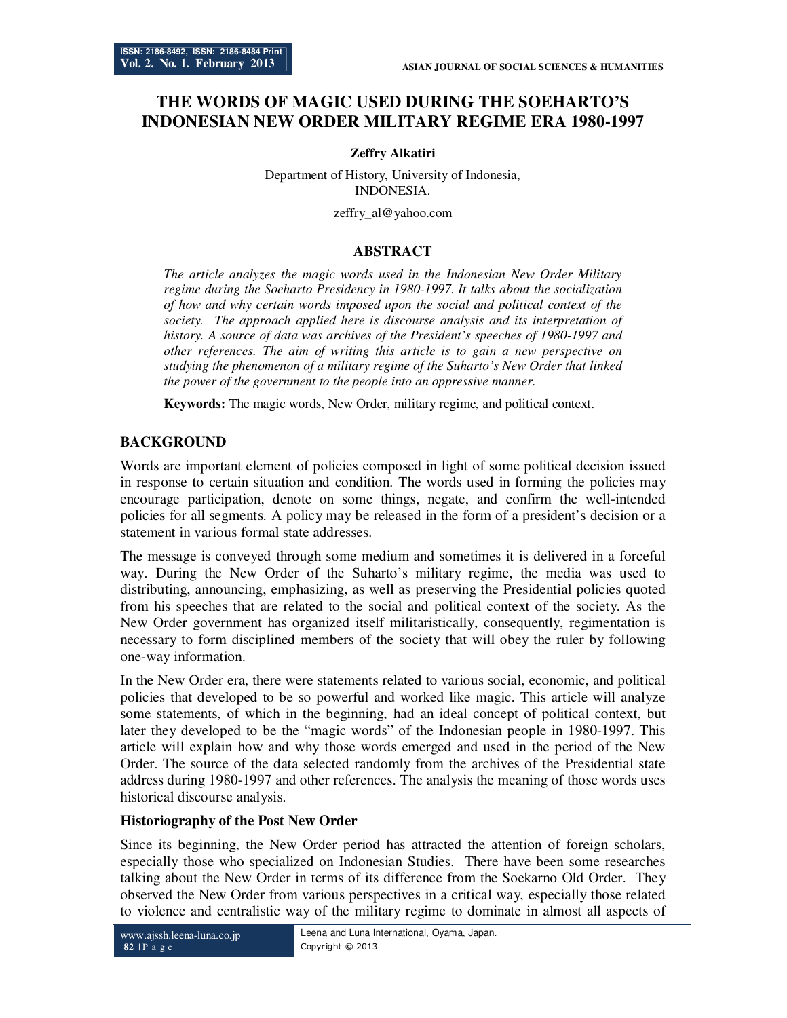# **THE WORDS OF MAGIC USED DURING THE SOEHARTO'S INDONESIAN NEW ORDER MILITARY REGIME ERA 1980-1997**

#### **Zeffry Alkatiri**

Department of History, University of Indonesia, INDONESIA.

zeffry\_al@yahoo.com

### **ABSTRACT**

*The article analyzes the magic words used in the Indonesian New Order Military regime during the Soeharto Presidency in 1980-1997. It talks about the socialization of how and why certain words imposed upon the social and political context of the society. The approach applied here is discourse analysis and its interpretation of history. A source of data was archives of the President's speeches of 1980-1997 and other references. The aim of writing this article is to gain a new perspective on studying the phenomenon of a military regime of the Suharto's New Order that linked the power of the government to the people into an oppressive manner.* 

**Keywords:** The magic words, New Order, military regime, and political context.

#### **BACKGROUND**

Words are important element of policies composed in light of some political decision issued in response to certain situation and condition. The words used in forming the policies may encourage participation, denote on some things, negate, and confirm the well-intended policies for all segments. A policy may be released in the form of a president's decision or a statement in various formal state addresses.

The message is conveyed through some medium and sometimes it is delivered in a forceful way. During the New Order of the Suharto's military regime, the media was used to distributing, announcing, emphasizing, as well as preserving the Presidential policies quoted from his speeches that are related to the social and political context of the society. As the New Order government has organized itself militaristically, consequently, regimentation is necessary to form disciplined members of the society that will obey the ruler by following one-way information.

In the New Order era, there were statements related to various social, economic, and political policies that developed to be so powerful and worked like magic. This article will analyze some statements, of which in the beginning, had an ideal concept of political context, but later they developed to be the "magic words" of the Indonesian people in 1980-1997. This article will explain how and why those words emerged and used in the period of the New Order. The source of the data selected randomly from the archives of the Presidential state address during 1980-1997 and other references. The analysis the meaning of those words uses historical discourse analysis.

#### **Historiography of the Post New Order**

Since its beginning, the New Order period has attracted the attention of foreign scholars, especially those who specialized on Indonesian Studies. There have been some researches talking about the New Order in terms of its difference from the Soekarno Old Order. They observed the New Order from various perspectives in a critical way, especially those related to violence and centralistic way of the military regime to dominate in almost all aspects of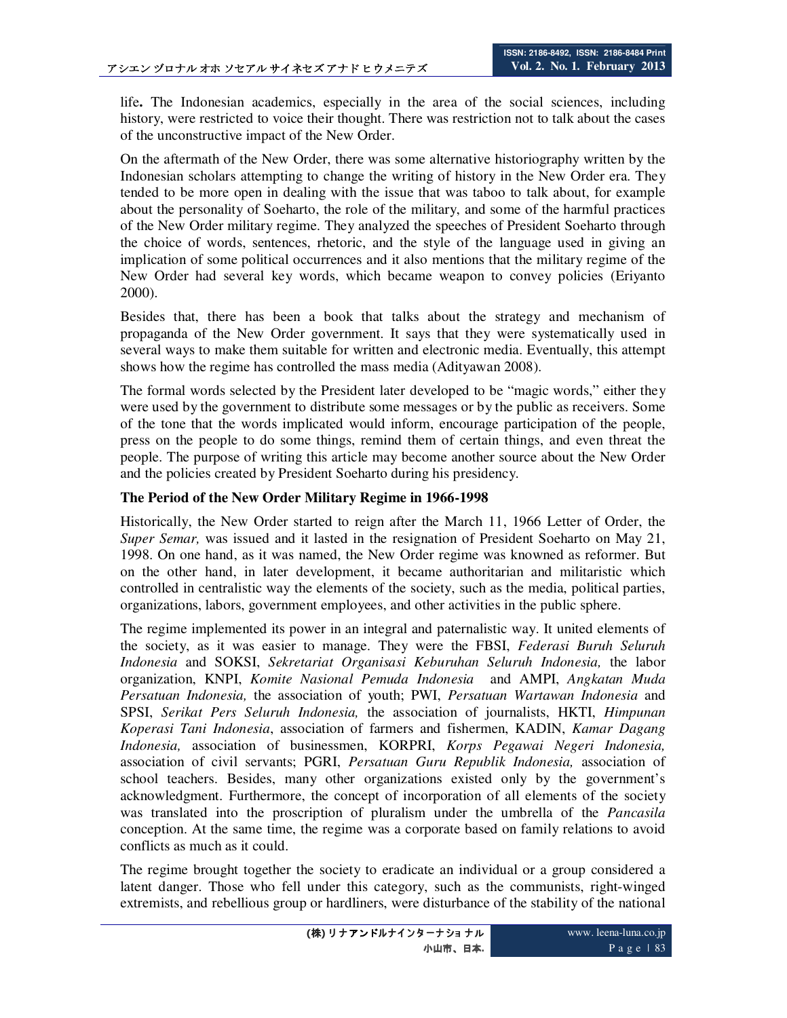life**.** The Indonesian academics, especially in the area of the social sciences, including history, were restricted to voice their thought. There was restriction not to talk about the cases of the unconstructive impact of the New Order.

On the aftermath of the New Order, there was some alternative historiography written by the Indonesian scholars attempting to change the writing of history in the New Order era. They tended to be more open in dealing with the issue that was taboo to talk about, for example about the personality of Soeharto, the role of the military, and some of the harmful practices of the New Order military regime. They analyzed the speeches of President Soeharto through the choice of words, sentences, rhetoric, and the style of the language used in giving an implication of some political occurrences and it also mentions that the military regime of the New Order had several key words, which became weapon to convey policies (Eriyanto 2000).

Besides that, there has been a book that talks about the strategy and mechanism of propaganda of the New Order government. It says that they were systematically used in several ways to make them suitable for written and electronic media. Eventually, this attempt shows how the regime has controlled the mass media (Adityawan 2008).

The formal words selected by the President later developed to be "magic words," either they were used by the government to distribute some messages or by the public as receivers. Some of the tone that the words implicated would inform, encourage participation of the people, press on the people to do some things, remind them of certain things, and even threat the people. The purpose of writing this article may become another source about the New Order and the policies created by President Soeharto during his presidency.

#### **The Period of the New Order Military Regime in 1966-1998**

Historically, the New Order started to reign after the March 11, 1966 Letter of Order, the *Super Semar,* was issued and it lasted in the resignation of President Soeharto on May 21, 1998. On one hand, as it was named, the New Order regime was knowned as reformer. But on the other hand, in later development, it became authoritarian and militaristic which controlled in centralistic way the elements of the society, such as the media, political parties, organizations, labors, government employees, and other activities in the public sphere.

The regime implemented its power in an integral and paternalistic way. It united elements of the society, as it was easier to manage. They were the FBSI, *Federasi Buruh Seluruh Indonesia* and SOKSI, *Sekretariat Organisasi Keburuhan Seluruh Indonesia,* the labor organization, KNPI, *Komite Nasional Pemuda Indonesia* and AMPI, *Angkatan Muda Persatuan Indonesia,* the association of youth; PWI, *Persatuan Wartawan Indonesia* and SPSI, *Serikat Pers Seluruh Indonesia,* the association of journalists, HKTI, *Himpunan Koperasi Tani Indonesia*, association of farmers and fishermen, KADIN, *Kamar Dagang Indonesia,* association of businessmen, KORPRI, *Korps Pegawai Negeri Indonesia,*  association of civil servants; PGRI, *Persatuan Guru Republik Indonesia,* association of school teachers. Besides, many other organizations existed only by the government's acknowledgment. Furthermore, the concept of incorporation of all elements of the society was translated into the proscription of pluralism under the umbrella of the *Pancasila*  conception. At the same time, the regime was a corporate based on family relations to avoid conflicts as much as it could.

The regime brought together the society to eradicate an individual or a group considered a latent danger. Those who fell under this category, such as the communists, right-winged extremists, and rebellious group or hardliners, were disturbance of the stability of the national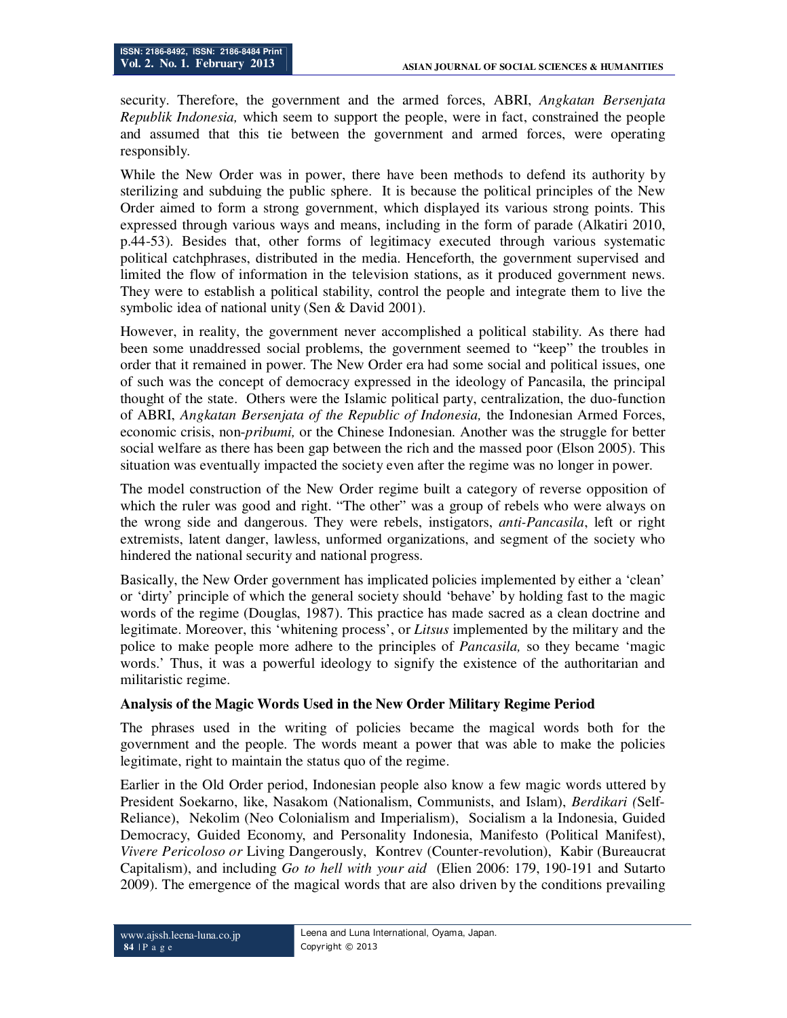security. Therefore, the government and the armed forces, ABRI, *Angkatan Bersenjata Republik Indonesia,* which seem to support the people, were in fact, constrained the people and assumed that this tie between the government and armed forces, were operating responsibly.

While the New Order was in power, there have been methods to defend its authority by sterilizing and subduing the public sphere. It is because the political principles of the New Order aimed to form a strong government, which displayed its various strong points. This expressed through various ways and means, including in the form of parade (Alkatiri 2010, p.44-53). Besides that, other forms of legitimacy executed through various systematic political catchphrases, distributed in the media. Henceforth, the government supervised and limited the flow of information in the television stations, as it produced government news. They were to establish a political stability, control the people and integrate them to live the symbolic idea of national unity (Sen & David 2001).

However, in reality, the government never accomplished a political stability. As there had been some unaddressed social problems, the government seemed to "keep" the troubles in order that it remained in power. The New Order era had some social and political issues, one of such was the concept of democracy expressed in the ideology of Pancasila, the principal thought of the state. Others were the Islamic political party, centralization, the duo-function of ABRI, *Angkatan Bersenjata of the Republic of Indonesia,* the Indonesian Armed Forces, economic crisis, non-*pribumi,* or the Chinese Indonesian. Another was the struggle for better social welfare as there has been gap between the rich and the massed poor (Elson 2005). This situation was eventually impacted the society even after the regime was no longer in power.

The model construction of the New Order regime built a category of reverse opposition of which the ruler was good and right. "The other" was a group of rebels who were always on the wrong side and dangerous. They were rebels, instigators, *anti-Pancasila*, left or right extremists, latent danger, lawless, unformed organizations, and segment of the society who hindered the national security and national progress.

Basically, the New Order government has implicated policies implemented by either a 'clean' or 'dirty' principle of which the general society should 'behave' by holding fast to the magic words of the regime (Douglas, 1987). This practice has made sacred as a clean doctrine and legitimate. Moreover, this 'whitening process', or *Litsus* implemented by the military and the police to make people more adhere to the principles of *Pancasila,* so they became 'magic words.' Thus, it was a powerful ideology to signify the existence of the authoritarian and militaristic regime.

#### **Analysis of the Magic Words Used in the New Order Military Regime Period**

The phrases used in the writing of policies became the magical words both for the government and the people. The words meant a power that was able to make the policies legitimate, right to maintain the status quo of the regime.

Earlier in the Old Order period, Indonesian people also know a few magic words uttered by President Soekarno, like, Nasakom (Nationalism, Communists, and Islam), *Berdikari (*Self-Reliance), Nekolim (Neo Colonialism and Imperialism), Socialism a la Indonesia, Guided Democracy, Guided Economy, and Personality Indonesia, Manifesto (Political Manifest), *Vivere Pericoloso or* Living Dangerously, Kontrev (Counter-revolution), Kabir (Bureaucrat Capitalism), and including *Go to hell with your aid* (Elien 2006: 179, 190-191 and Sutarto 2009). The emergence of the magical words that are also driven by the conditions prevailing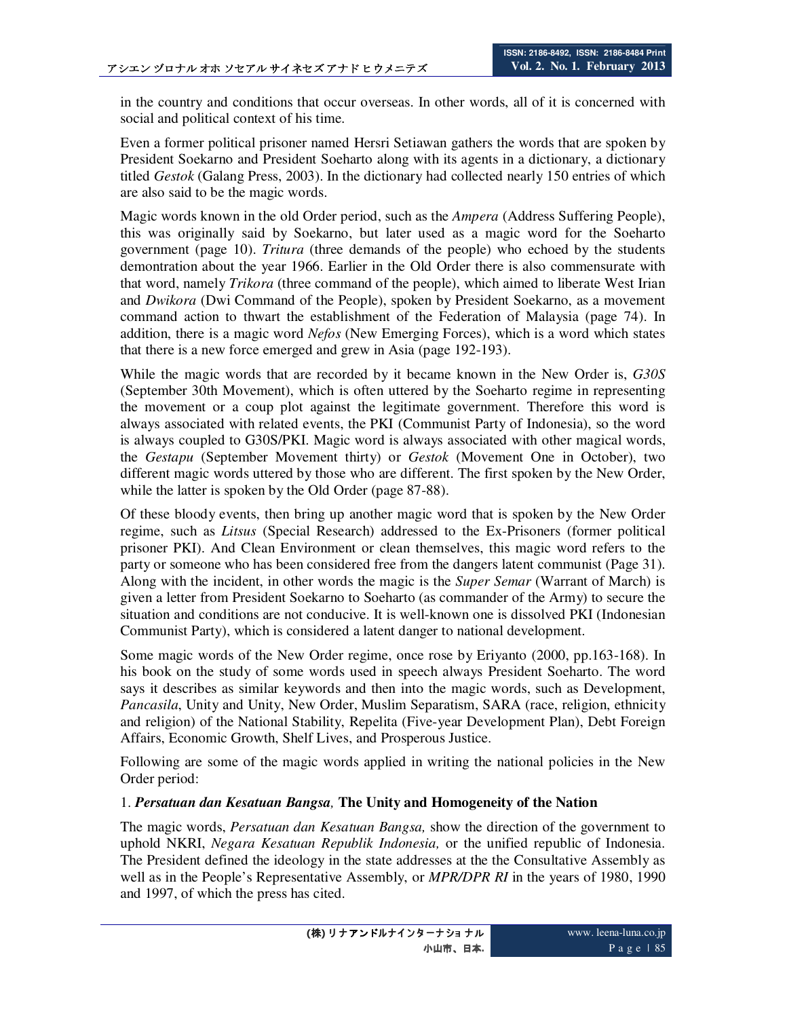in the country and conditions that occur overseas. In other words, all of it is concerned with social and political context of his time.

Even a former political prisoner named Hersri Setiawan gathers the words that are spoken by President Soekarno and President Soeharto along with its agents in a dictionary, a dictionary titled *Gestok* (Galang Press, 2003). In the dictionary had collected nearly 150 entries of which are also said to be the magic words.

Magic words known in the old Order period, such as the *Ampera* (Address Suffering People), this was originally said by Soekarno, but later used as a magic word for the Soeharto government (page 10). *Tritura* (three demands of the people) who echoed by the students demontration about the year 1966. Earlier in the Old Order there is also commensurate with that word, namely *Trikora* (three command of the people), which aimed to liberate West Irian and *Dwikora* (Dwi Command of the People), spoken by President Soekarno, as a movement command action to thwart the establishment of the Federation of Malaysia (page 74). In addition, there is a magic word *Nefos* (New Emerging Forces), which is a word which states that there is a new force emerged and grew in Asia (page 192-193).

While the magic words that are recorded by it became known in the New Order is, *G30S* (September 30th Movement), which is often uttered by the Soeharto regime in representing the movement or a coup plot against the legitimate government. Therefore this word is always associated with related events, the PKI (Communist Party of Indonesia), so the word is always coupled to G30S/PKI. Magic word is always associated with other magical words, the *Gestapu* (September Movement thirty) or *Gestok* (Movement One in October), two different magic words uttered by those who are different. The first spoken by the New Order, while the latter is spoken by the Old Order (page 87-88).

Of these bloody events, then bring up another magic word that is spoken by the New Order regime, such as *Litsus* (Special Research) addressed to the Ex-Prisoners (former political prisoner PKI). And Clean Environment or clean themselves, this magic word refers to the party or someone who has been considered free from the dangers latent communist (Page 31). Along with the incident, in other words the magic is the *Super Semar* (Warrant of March) is given a letter from President Soekarno to Soeharto (as commander of the Army) to secure the situation and conditions are not conducive. It is well-known one is dissolved PKI (Indonesian Communist Party), which is considered a latent danger to national development.

Some magic words of the New Order regime, once rose by Eriyanto (2000, pp.163-168). In his book on the study of some words used in speech always President Soeharto. The word says it describes as similar keywords and then into the magic words, such as Development, *Pancasila*, Unity and Unity, New Order, Muslim Separatism, SARA (race, religion, ethnicity and religion) of the National Stability, Repelita (Five-year Development Plan), Debt Foreign Affairs, Economic Growth, Shelf Lives, and Prosperous Justice.

Following are some of the magic words applied in writing the national policies in the New Order period:

#### 1. *Persatuan dan Kesatuan Bangsa,* **The Unity and Homogeneity of the Nation**

The magic words, *Persatuan dan Kesatuan Bangsa,* show the direction of the government to uphold NKRI, *Negara Kesatuan Republik Indonesia,* or the unified republic of Indonesia. The President defined the ideology in the state addresses at the the Consultative Assembly as well as in the People's Representative Assembly, or *MPR/DPR RI* in the years of 1980, 1990 and 1997, of which the press has cited.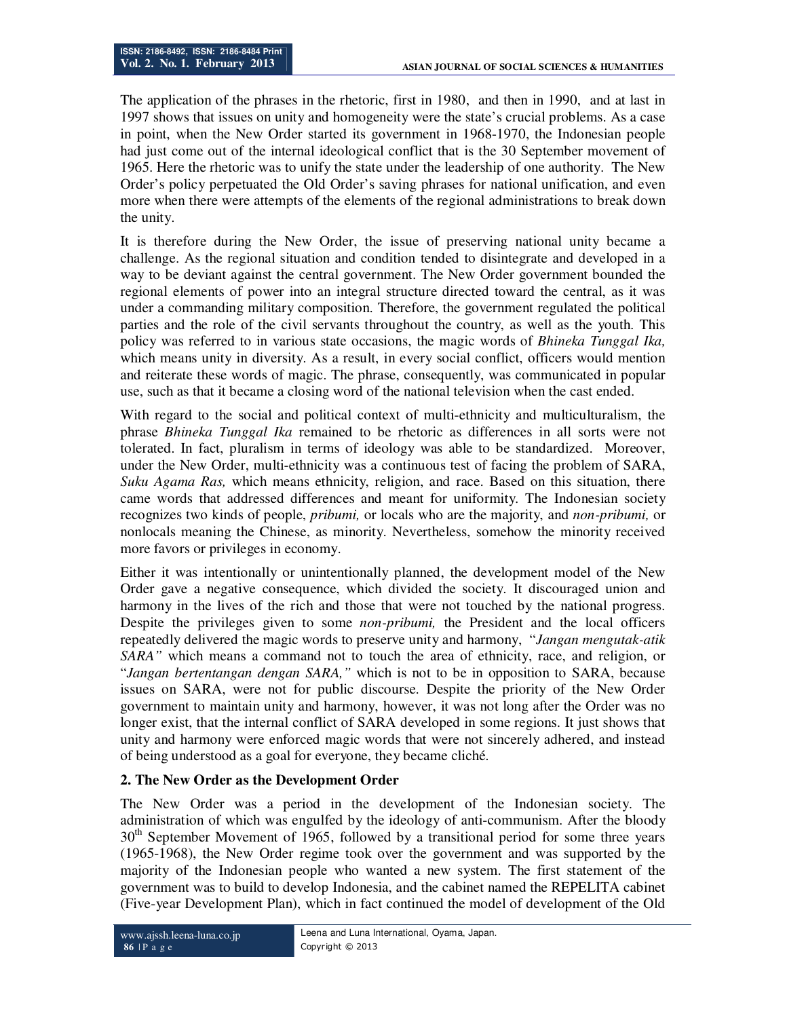The application of the phrases in the rhetoric, first in 1980, and then in 1990, and at last in 1997 shows that issues on unity and homogeneity were the state's crucial problems. As a case in point, when the New Order started its government in 1968-1970, the Indonesian people had just come out of the internal ideological conflict that is the 30 September movement of 1965. Here the rhetoric was to unify the state under the leadership of one authority. The New Order's policy perpetuated the Old Order's saving phrases for national unification, and even more when there were attempts of the elements of the regional administrations to break down the unity.

It is therefore during the New Order, the issue of preserving national unity became a challenge. As the regional situation and condition tended to disintegrate and developed in a way to be deviant against the central government. The New Order government bounded the regional elements of power into an integral structure directed toward the central, as it was under a commanding military composition. Therefore, the government regulated the political parties and the role of the civil servants throughout the country, as well as the youth. This policy was referred to in various state occasions, the magic words of *Bhineka Tunggal Ika,*  which means unity in diversity. As a result, in every social conflict, officers would mention and reiterate these words of magic. The phrase, consequently, was communicated in popular use, such as that it became a closing word of the national television when the cast ended.

With regard to the social and political context of multi-ethnicity and multiculturalism, the phrase *Bhineka Tunggal Ika* remained to be rhetoric as differences in all sorts were not tolerated. In fact, pluralism in terms of ideology was able to be standardized. Moreover, under the New Order, multi-ethnicity was a continuous test of facing the problem of SARA, *Suku Agama Ras,* which means ethnicity, religion, and race. Based on this situation, there came words that addressed differences and meant for uniformity. The Indonesian society recognizes two kinds of people, *pribumi,* or locals who are the majority, and *non-pribumi,* or nonlocals meaning the Chinese, as minority. Nevertheless, somehow the minority received more favors or privileges in economy.

Either it was intentionally or unintentionally planned, the development model of the New Order gave a negative consequence, which divided the society. It discouraged union and harmony in the lives of the rich and those that were not touched by the national progress. Despite the privileges given to some *non-pribumi,* the President and the local officers repeatedly delivered the magic words to preserve unity and harmony, "*Jangan mengutak-atik SARA"* which means a command not to touch the area of ethnicity, race, and religion, or "*Jangan bertentangan dengan SARA,"* which is not to be in opposition to SARA, because issues on SARA, were not for public discourse. Despite the priority of the New Order government to maintain unity and harmony, however, it was not long after the Order was no longer exist, that the internal conflict of SARA developed in some regions. It just shows that unity and harmony were enforced magic words that were not sincerely adhered, and instead of being understood as a goal for everyone, they became cliché.

## **2. The New Order as the Development Order**

The New Order was a period in the development of the Indonesian society. The administration of which was engulfed by the ideology of anti-communism. After the bloody  $30<sup>th</sup>$  September Movement of 1965, followed by a transitional period for some three years (1965-1968), the New Order regime took over the government and was supported by the majority of the Indonesian people who wanted a new system. The first statement of the government was to build to develop Indonesia, and the cabinet named the REPELITA cabinet (Five-year Development Plan), which in fact continued the model of development of the Old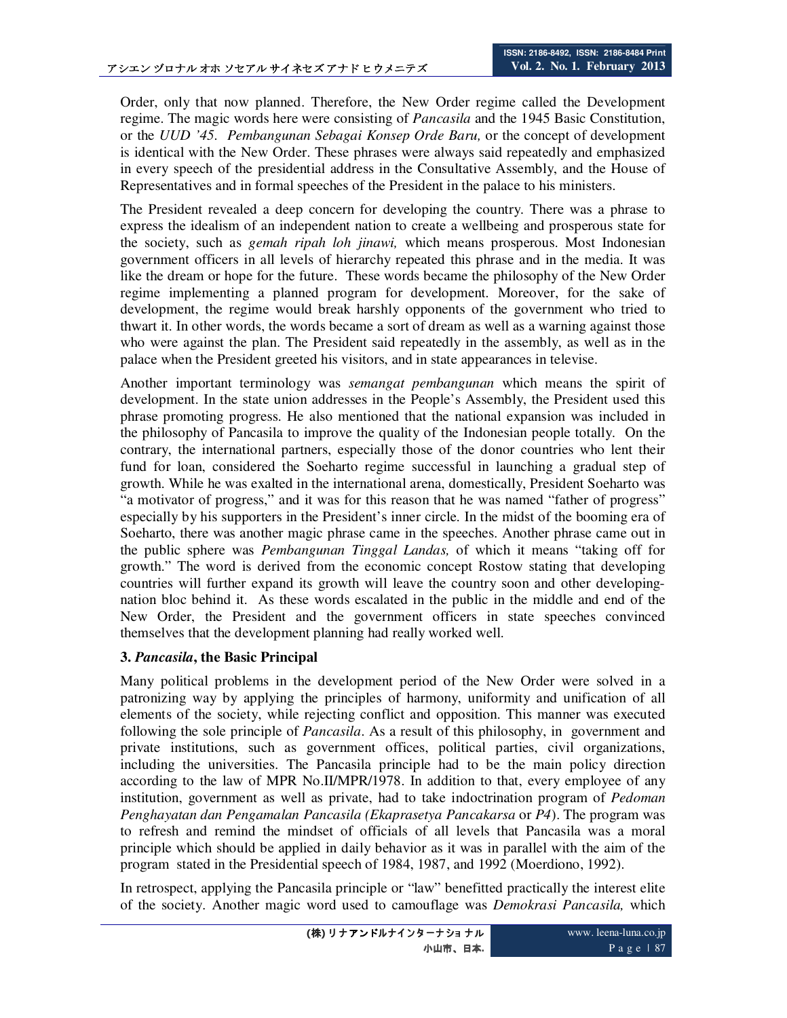Order, only that now planned. Therefore, the New Order regime called the Development regime. The magic words here were consisting of *Pancasila* and the 1945 Basic Constitution, or the *UUD '45. Pembangunan Sebagai Konsep Orde Baru,* or the concept of development is identical with the New Order. These phrases were always said repeatedly and emphasized in every speech of the presidential address in the Consultative Assembly, and the House of Representatives and in formal speeches of the President in the palace to his ministers.

The President revealed a deep concern for developing the country. There was a phrase to express the idealism of an independent nation to create a wellbeing and prosperous state for the society, such as *gemah ripah loh jinawi,* which means prosperous. Most Indonesian government officers in all levels of hierarchy repeated this phrase and in the media. It was like the dream or hope for the future. These words became the philosophy of the New Order regime implementing a planned program for development. Moreover, for the sake of development, the regime would break harshly opponents of the government who tried to thwart it. In other words, the words became a sort of dream as well as a warning against those who were against the plan. The President said repeatedly in the assembly, as well as in the palace when the President greeted his visitors, and in state appearances in televise.

Another important terminology was *semangat pembangunan* which means the spirit of development. In the state union addresses in the People's Assembly, the President used this phrase promoting progress. He also mentioned that the national expansion was included in the philosophy of Pancasila to improve the quality of the Indonesian people totally. On the contrary, the international partners, especially those of the donor countries who lent their fund for loan, considered the Soeharto regime successful in launching a gradual step of growth. While he was exalted in the international arena, domestically, President Soeharto was "a motivator of progress," and it was for this reason that he was named "father of progress" especially by his supporters in the President's inner circle. In the midst of the booming era of Soeharto, there was another magic phrase came in the speeches. Another phrase came out in the public sphere was *Pembangunan Tinggal Landas,* of which it means "taking off for growth." The word is derived from the economic concept Rostow stating that developing countries will further expand its growth will leave the country soon and other developingnation bloc behind it. As these words escalated in the public in the middle and end of the New Order, the President and the government officers in state speeches convinced themselves that the development planning had really worked well.

#### **3.** *Pancasila***, the Basic Principal**

Many political problems in the development period of the New Order were solved in a patronizing way by applying the principles of harmony, uniformity and unification of all elements of the society, while rejecting conflict and opposition. This manner was executed following the sole principle of *Pancasila*. As a result of this philosophy, in government and private institutions, such as government offices, political parties, civil organizations, including the universities. The Pancasila principle had to be the main policy direction according to the law of MPR No.II/MPR/1978. In addition to that, every employee of any institution, government as well as private, had to take indoctrination program of *Pedoman Penghayatan dan Pengamalan Pancasila (Ekaprasetya Pancakarsa* or *P4*). The program was to refresh and remind the mindset of officials of all levels that Pancasila was a moral principle which should be applied in daily behavior as it was in parallel with the aim of the program stated in the Presidential speech of 1984, 1987, and 1992 (Moerdiono, 1992).

In retrospect, applying the Pancasila principle or "law" benefitted practically the interest elite of the society. Another magic word used to camouflage was *Demokrasi Pancasila,* which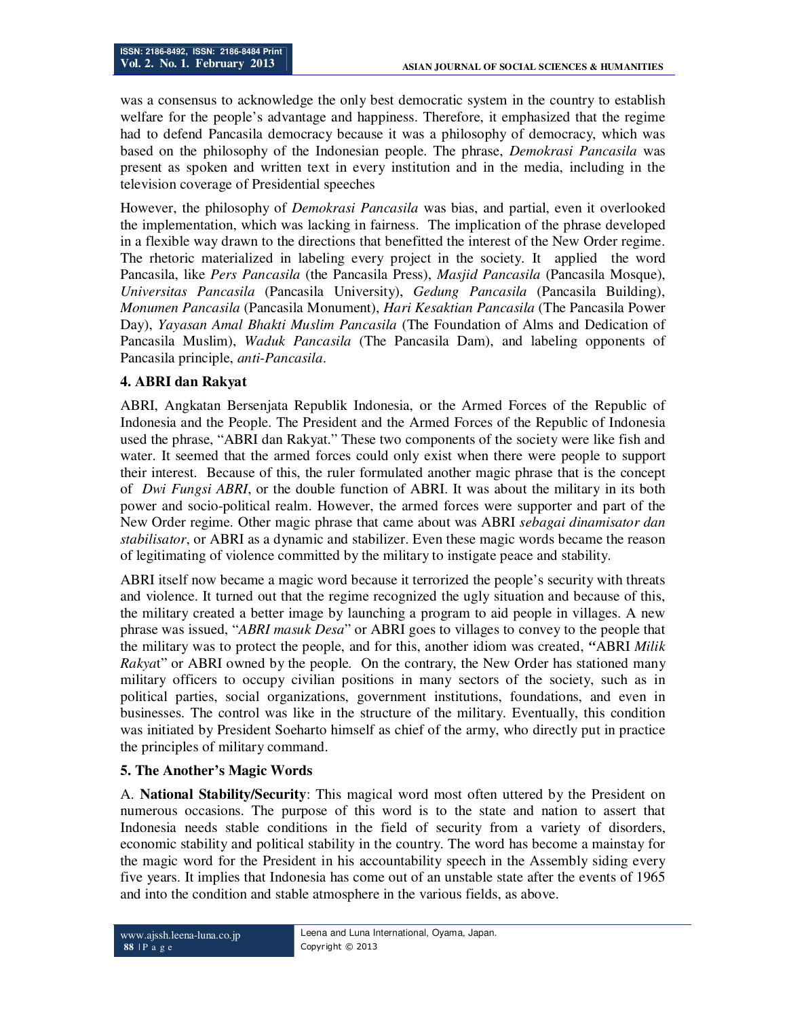was a consensus to acknowledge the only best democratic system in the country to establish welfare for the people's advantage and happiness. Therefore, it emphasized that the regime had to defend Pancasila democracy because it was a philosophy of democracy, which was based on the philosophy of the Indonesian people. The phrase, *Demokrasi Pancasila* was present as spoken and written text in every institution and in the media, including in the television coverage of Presidential speeches

However, the philosophy of *Demokrasi Pancasila* was bias, and partial, even it overlooked the implementation, which was lacking in fairness. The implication of the phrase developed in a flexible way drawn to the directions that benefitted the interest of the New Order regime. The rhetoric materialized in labeling every project in the society. It applied the word Pancasila, like *Pers Pancasila* (the Pancasila Press), *Masjid Pancasila* (Pancasila Mosque), *Universitas Pancasila* (Pancasila University), *Gedung Pancasila* (Pancasila Building), *Monumen Pancasila* (Pancasila Monument), *Hari Kesaktian Pancasila* (The Pancasila Power Day), *Yayasan Amal Bhakti Muslim Pancasila* (The Foundation of Alms and Dedication of Pancasila Muslim), *Waduk Pancasila* (The Pancasila Dam), and labeling opponents of Pancasila principle, *anti-Pancasila*.

## **4. ABRI dan Rakyat**

ABRI, Angkatan Bersenjata Republik Indonesia, or the Armed Forces of the Republic of Indonesia and the People. The President and the Armed Forces of the Republic of Indonesia used the phrase, "ABRI dan Rakyat." These two components of the society were like fish and water. It seemed that the armed forces could only exist when there were people to support their interest. Because of this, the ruler formulated another magic phrase that is the concept of *Dwi Fungsi ABRI*, or the double function of ABRI. It was about the military in its both power and socio-political realm. However, the armed forces were supporter and part of the New Order regime. Other magic phrase that came about was ABRI *sebagai dinamisator dan stabilisator*, or ABRI as a dynamic and stabilizer. Even these magic words became the reason of legitimating of violence committed by the military to instigate peace and stability.

ABRI itself now became a magic word because it terrorized the people's security with threats and violence. It turned out that the regime recognized the ugly situation and because of this, the military created a better image by launching a program to aid people in villages. A new phrase was issued, "*ABRI masuk Desa*" or ABRI goes to villages to convey to the people that the military was to protect the people, and for this, another idiom was created, *"*ABRI *Milik Rakya*t" or ABRI owned by the people*.* On the contrary, the New Order has stationed many military officers to occupy civilian positions in many sectors of the society, such as in political parties, social organizations, government institutions, foundations, and even in businesses. The control was like in the structure of the military. Eventually, this condition was initiated by President Soeharto himself as chief of the army, who directly put in practice the principles of military command.

#### **5. The Another's Magic Words**

A. **National Stability/Security**: This magical word most often uttered by the President on numerous occasions. The purpose of this word is to the state and nation to assert that Indonesia needs stable conditions in the field of security from a variety of disorders, economic stability and political stability in the country. The word has become a mainstay for the magic word for the President in his accountability speech in the Assembly siding every five years. It implies that Indonesia has come out of an unstable state after the events of 1965 and into the condition and stable atmosphere in the various fields, as above.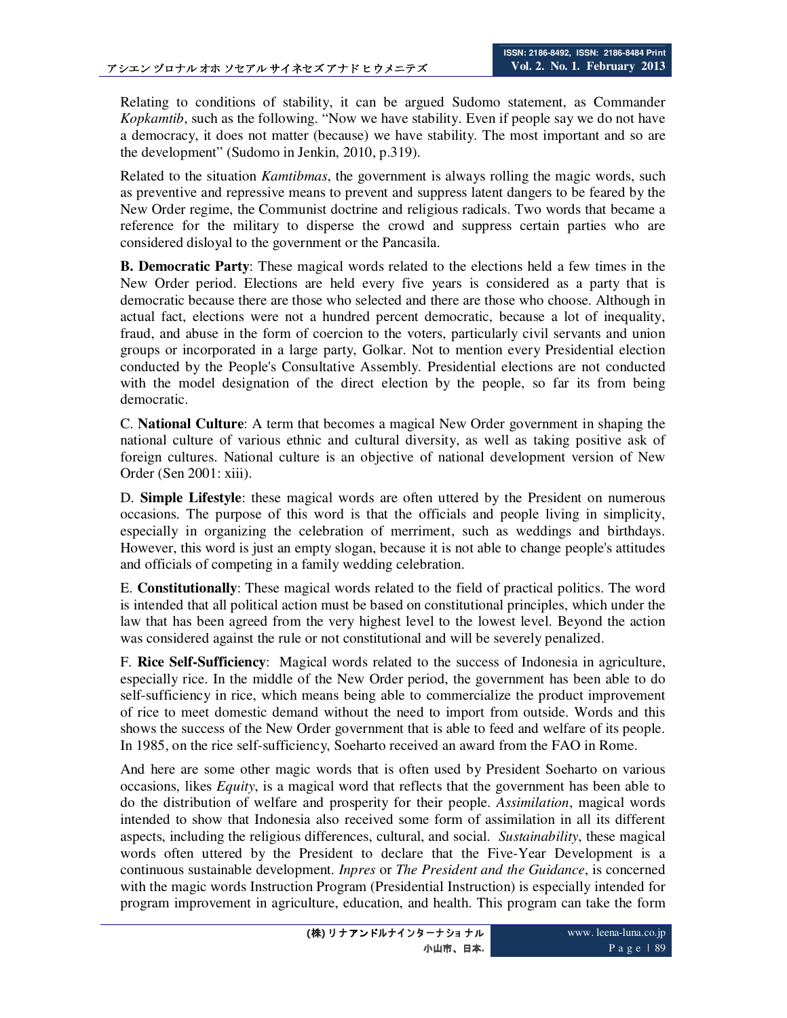Relating to conditions of stability, it can be argued Sudomo statement, as Commander *Kopkamtib*, such as the following. "Now we have stability. Even if people say we do not have a democracy, it does not matter (because) we have stability. The most important and so are the development" (Sudomo in Jenkin, 2010, p.319).

Related to the situation *Kamtibmas*, the government is always rolling the magic words, such as preventive and repressive means to prevent and suppress latent dangers to be feared by the New Order regime, the Communist doctrine and religious radicals. Two words that became a reference for the military to disperse the crowd and suppress certain parties who are considered disloyal to the government or the Pancasila.

**B. Democratic Party**: These magical words related to the elections held a few times in the New Order period. Elections are held every five years is considered as a party that is democratic because there are those who selected and there are those who choose. Although in actual fact, elections were not a hundred percent democratic, because a lot of inequality, fraud, and abuse in the form of coercion to the voters, particularly civil servants and union groups or incorporated in a large party, Golkar. Not to mention every Presidential election conducted by the People's Consultative Assembly. Presidential elections are not conducted with the model designation of the direct election by the people, so far its from being democratic.

C. **National Culture**: A term that becomes a magical New Order government in shaping the national culture of various ethnic and cultural diversity, as well as taking positive ask of foreign cultures. National culture is an objective of national development version of New Order (Sen 2001: xiii).

D. **Simple Lifestyle**: these magical words are often uttered by the President on numerous occasions. The purpose of this word is that the officials and people living in simplicity, especially in organizing the celebration of merriment, such as weddings and birthdays. However, this word is just an empty slogan, because it is not able to change people's attitudes and officials of competing in a family wedding celebration.

E. **Constitutionally**: These magical words related to the field of practical politics. The word is intended that all political action must be based on constitutional principles, which under the law that has been agreed from the very highest level to the lowest level. Beyond the action was considered against the rule or not constitutional and will be severely penalized.

F. **Rice Self-Sufficiency**: Magical words related to the success of Indonesia in agriculture, especially rice. In the middle of the New Order period, the government has been able to do self-sufficiency in rice, which means being able to commercialize the product improvement of rice to meet domestic demand without the need to import from outside. Words and this shows the success of the New Order government that is able to feed and welfare of its people. In 1985, on the rice self-sufficiency, Soeharto received an award from the FAO in Rome.

And here are some other magic words that is often used by President Soeharto on various occasions, likes *Equity*, is a magical word that reflects that the government has been able to do the distribution of welfare and prosperity for their people. *Assimilation*, magical words intended to show that Indonesia also received some form of assimilation in all its different aspects, including the religious differences, cultural, and social. *Sustainability*, these magical words often uttered by the President to declare that the Five-Year Development is a continuous sustainable development. *Inpres* or *The President and the Guidance*, is concerned with the magic words Instruction Program (Presidential Instruction) is especially intended for program improvement in agriculture, education, and health. This program can take the form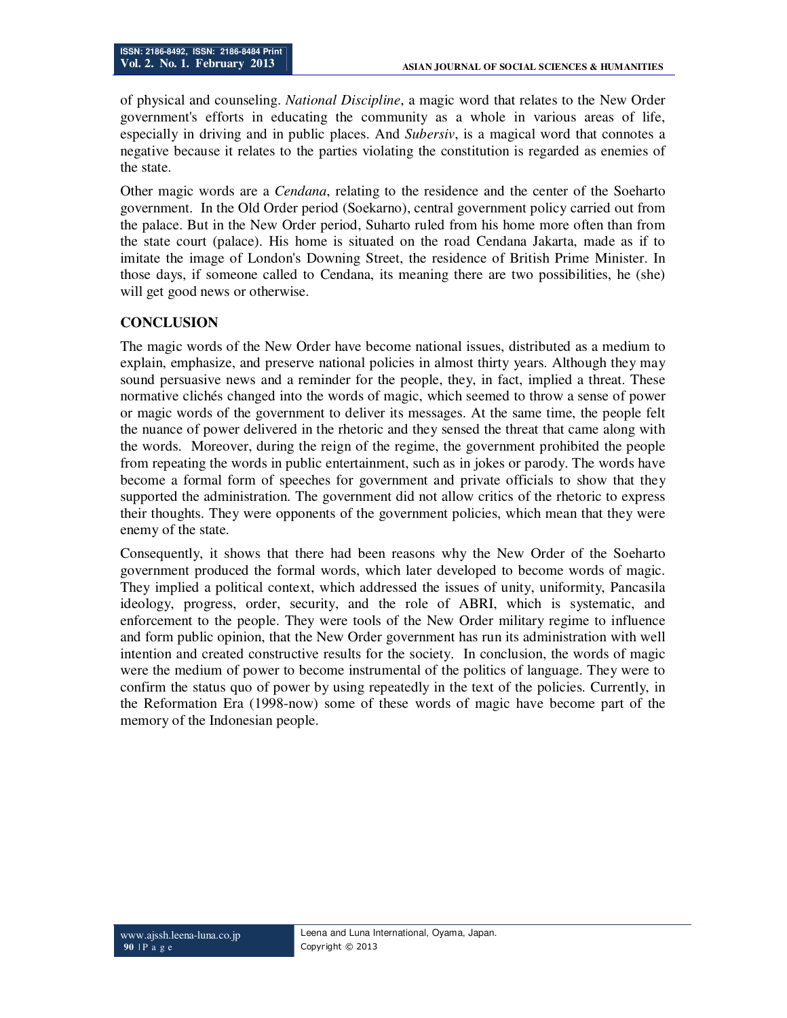of physical and counseling. *National Discipline*, a magic word that relates to the New Order government's efforts in educating the community as a whole in various areas of life, especially in driving and in public places. And *Subersiv*, is a magical word that connotes a negative because it relates to the parties violating the constitution is regarded as enemies of the state.

Other magic words are a *Cendana*, relating to the residence and the center of the Soeharto government. In the Old Order period (Soekarno), central government policy carried out from the palace. But in the New Order period, Suharto ruled from his home more often than from the state court (palace). His home is situated on the road Cendana Jakarta, made as if to imitate the image of London's Downing Street, the residence of British Prime Minister. In those days, if someone called to Cendana, its meaning there are two possibilities, he (she) will get good news or otherwise.

### **CONCLUSION**

The magic words of the New Order have become national issues, distributed as a medium to explain, emphasize, and preserve national policies in almost thirty years. Although they may sound persuasive news and a reminder for the people, they, in fact, implied a threat. These normative clichés changed into the words of magic, which seemed to throw a sense of power or magic words of the government to deliver its messages. At the same time, the people felt the nuance of power delivered in the rhetoric and they sensed the threat that came along with the words. Moreover, during the reign of the regime, the government prohibited the people from repeating the words in public entertainment, such as in jokes or parody. The words have become a formal form of speeches for government and private officials to show that they supported the administration. The government did not allow critics of the rhetoric to express their thoughts. They were opponents of the government policies, which mean that they were enemy of the state.

Consequently, it shows that there had been reasons why the New Order of the Soeharto government produced the formal words, which later developed to become words of magic. They implied a political context, which addressed the issues of unity, uniformity, Pancasila ideology, progress, order, security, and the role of ABRI, which is systematic, and enforcement to the people. They were tools of the New Order military regime to influence and form public opinion, that the New Order government has run its administration with well intention and created constructive results for the society. In conclusion, the words of magic were the medium of power to become instrumental of the politics of language. They were to confirm the status quo of power by using repeatedly in the text of the policies. Currently, in the Reformation Era (1998-now) some of these words of magic have become part of the memory of the Indonesian people.